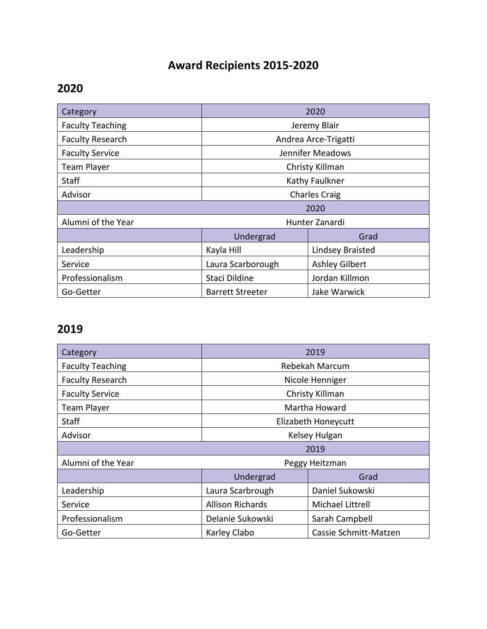# **Award Recipients 2015-2020**

#### **2020**

| Category                | 2020                    |                         |
|-------------------------|-------------------------|-------------------------|
| <b>Faculty Teaching</b> | Jeremy Blair            |                         |
| <b>Faculty Research</b> | Andrea Arce-Trigatti    |                         |
| <b>Faculty Service</b>  | Jennifer Meadows        |                         |
| <b>Team Player</b>      | Christy Killman         |                         |
| <b>Staff</b>            | Kathy Faulkner          |                         |
| Advisor                 | <b>Charles Craig</b>    |                         |
| 2020                    |                         |                         |
| Alumni of the Year      | Hunter Zanardi          |                         |
|                         | Undergrad               | Grad                    |
| Leadership              | Kayla Hill              | <b>Lindsey Braisted</b> |
| Service                 | Laura Scarborough       | <b>Ashley Gilbert</b>   |
| Professionalism         | Staci Dildine           | Jordan Killmon          |
| Go-Getter               | <b>Barrett Streeter</b> | Jake Warwick            |

#### **2019**

| Category                | 2019                    |                       |  |
|-------------------------|-------------------------|-----------------------|--|
| <b>Faculty Teaching</b> | Rebekah Marcum          |                       |  |
| <b>Faculty Research</b> | Nicole Henniger         |                       |  |
| <b>Faculty Service</b>  | Christy Killman         |                       |  |
| <b>Team Player</b>      | Martha Howard           |                       |  |
| <b>Staff</b>            | Elizabeth Honeycutt     |                       |  |
| Advisor                 | Kelsey Hulgan           |                       |  |
|                         | 2019                    |                       |  |
| Alumni of the Year      | Peggy Heitzman          |                       |  |
|                         | Undergrad               | Grad                  |  |
| Leadership              | Laura Scarbrough        | Daniel Sukowski       |  |
| Service                 | <b>Allison Richards</b> | Michael Littrell      |  |
| Professionalism         | Delanie Sukowski        | Sarah Campbell        |  |
| Go-Getter               | Karley Clabo            | Cassie Schmitt-Matzen |  |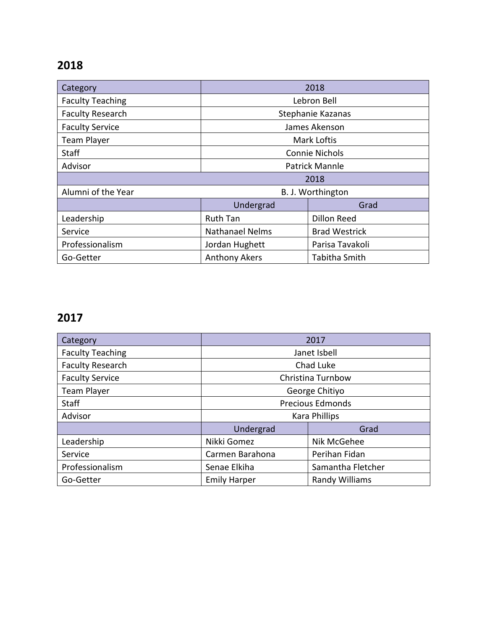## **2018**

| Category                | 2018                   |                      |
|-------------------------|------------------------|----------------------|
| <b>Faculty Teaching</b> | Lebron Bell            |                      |
| <b>Faculty Research</b> | Stephanie Kazanas      |                      |
| <b>Faculty Service</b>  | James Akenson          |                      |
| <b>Team Player</b>      | <b>Mark Loftis</b>     |                      |
| Staff                   | <b>Connie Nichols</b>  |                      |
| Advisor                 | <b>Patrick Mannle</b>  |                      |
| 2018                    |                        |                      |
| Alumni of the Year      | B. J. Worthington      |                      |
|                         | Undergrad              | Grad                 |
| Leadership              | <b>Ruth Tan</b>        | <b>Dillon Reed</b>   |
| Service                 | <b>Nathanael Nelms</b> | <b>Brad Westrick</b> |
| Professionalism         | Jordan Hughett         | Parisa Tavakoli      |
| Go-Getter               | <b>Anthony Akers</b>   | Tabitha Smith        |

## **2017**

| Category                | 2017                    |                       |
|-------------------------|-------------------------|-----------------------|
| <b>Faculty Teaching</b> | Janet Isbell            |                       |
| <b>Faculty Research</b> | Chad Luke               |                       |
| <b>Faculty Service</b>  | Christina Turnbow       |                       |
| <b>Team Player</b>      | George Chitiyo          |                       |
| <b>Staff</b>            | <b>Precious Edmonds</b> |                       |
| Advisor                 | <b>Kara Phillips</b>    |                       |
|                         | Undergrad               | Grad                  |
| Leadership              | Nikki Gomez             | Nik McGehee           |
| Service                 | Carmen Barahona         | Perihan Fidan         |
| Professionalism         | Senae Elkiha            | Samantha Fletcher     |
| Go-Getter               | <b>Emily Harper</b>     | <b>Randy Williams</b> |